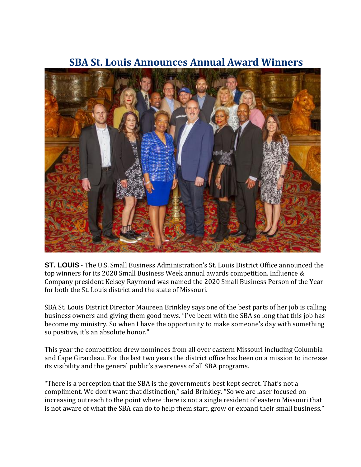

## **SBA St. Louis Announces Annual Award Winners**

**ST. LOUIS** - The U.S. Small Business Administration's St. Louis District Office announced the top winners for its 2020 Small Business Week annual awards competition. Influence & Company president Kelsey Raymond was named the 2020 Small Business Person of the Year for both the St. Louis district and the state of Missouri.

SBA St. Louis District Director Maureen Brinkley says one of the best parts of her job is calling business owners and giving them good news. "I've been with the SBA so long that this job has become my ministry. So when I have the opportunity to make someone's day with something so positive, it's an absolute honor."

This year the competition drew nominees from all over eastern Missouri including Columbia and Cape Girardeau. For the last two years the district office has been on a mission to increase its visibility and the general public's awareness of all SBA programs.

"There is a perception that the SBA is the government's best kept secret. That's not a compliment. We don't want that distinction," said Brinkley. "So we are laser focused on increasing outreach to the point where there is not a single resident of eastern Missouri that is not aware of what the SBA can do to help them start, grow or expand their small business."